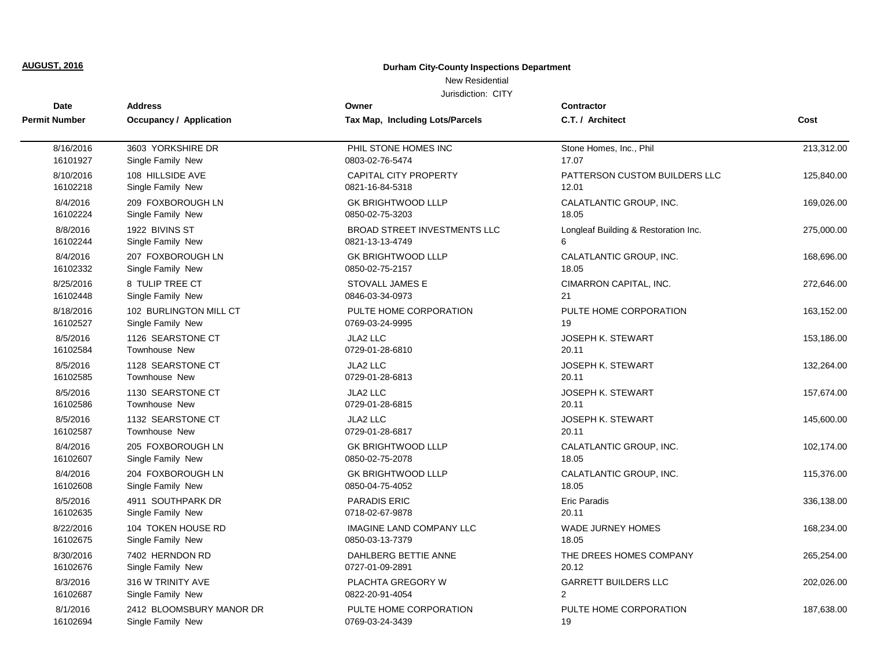## **Durham City-County Inspections Department**

## New Residential

| <b>Date</b>          | <b>Address</b>                 | Owner                               | <b>Contractor</b>                    |            |
|----------------------|--------------------------------|-------------------------------------|--------------------------------------|------------|
| <b>Permit Number</b> | <b>Occupancy / Application</b> | Tax Map, Including Lots/Parcels     | C.T. / Architect                     | Cost       |
| 8/16/2016            | 3603 YORKSHIRE DR              | PHIL STONE HOMES INC                | Stone Homes, Inc., Phil              | 213,312.00 |
| 16101927             | Single Family New              | 0803-02-76-5474                     | 17.07                                |            |
| 8/10/2016            | 108 HILLSIDE AVE               | <b>CAPITAL CITY PROPERTY</b>        | PATTERSON CUSTOM BUILDERS LLC        | 125,840.00 |
| 16102218             | Single Family New              | 0821-16-84-5318                     | 12.01                                |            |
| 8/4/2016             | 209 FOXBOROUGH LN              | <b>GK BRIGHTWOOD LLLP</b>           | CALATLANTIC GROUP, INC.              | 169,026.00 |
| 16102224             | Single Family New              | 0850-02-75-3203                     | 18.05                                |            |
| 8/8/2016             | 1922 BIVINS ST                 | <b>BROAD STREET INVESTMENTS LLC</b> | Longleaf Building & Restoration Inc. | 275,000.00 |
| 16102244             | Single Family New              | 0821-13-13-4749                     | 6                                    |            |
| 8/4/2016             | 207 FOXBOROUGH LN              | <b>GK BRIGHTWOOD LLLP</b>           | CALATLANTIC GROUP, INC.              | 168,696.00 |
| 16102332             | Single Family New              | 0850-02-75-2157                     | 18.05                                |            |
| 8/25/2016            | 8 TULIP TREE CT                | STOVALL JAMES E                     | CIMARRON CAPITAL, INC.               | 272,646.00 |
| 16102448             | Single Family New              | 0846-03-34-0973                     | 21                                   |            |
| 8/18/2016            | 102 BURLINGTON MILL CT         | PULTE HOME CORPORATION              | PULTE HOME CORPORATION               | 163,152.00 |
| 16102527             | Single Family New              | 0769-03-24-9995                     | 19                                   |            |
| 8/5/2016             | 1126 SEARSTONE CT              | JLA2 LLC                            | JOSEPH K. STEWART                    | 153,186.00 |
| 16102584             | Townhouse New                  | 0729-01-28-6810                     | 20.11                                |            |
| 8/5/2016             | 1128 SEARSTONE CT              | JLA2 LLC                            | <b>JOSEPH K. STEWART</b>             | 132,264.00 |
| 16102585             | Townhouse New                  | 0729-01-28-6813                     | 20.11                                |            |
| 8/5/2016             | 1130 SEARSTONE CT              | JLA2 LLC                            | <b>JOSEPH K. STEWART</b>             | 157.674.00 |
| 16102586             | Townhouse New                  | 0729-01-28-6815                     | 20.11                                |            |
| 8/5/2016             | 1132 SEARSTONE CT              | JLA2 LLC                            | <b>JOSEPH K. STEWART</b>             | 145,600.00 |
| 16102587             | Townhouse New                  | 0729-01-28-6817                     | 20.11                                |            |
| 8/4/2016             | 205 FOXBOROUGH LN              | <b>GK BRIGHTWOOD LLLP</b>           | CALATLANTIC GROUP, INC.              | 102,174.00 |
| 16102607             | Single Family New              | 0850-02-75-2078                     | 18.05                                |            |
| 8/4/2016             | 204 FOXBOROUGH LN              | <b>GK BRIGHTWOOD LLLP</b>           | CALATLANTIC GROUP, INC.              | 115,376.00 |
| 16102608             | Single Family New              | 0850-04-75-4052                     | 18.05                                |            |
| 8/5/2016             | 4911 SOUTHPARK DR              | <b>PARADIS ERIC</b>                 | <b>Eric Paradis</b>                  | 336,138.00 |
| 16102635             | Single Family New              | 0718-02-67-9878                     | 20.11                                |            |
| 8/22/2016            | 104 TOKEN HOUSE RD             | <b>IMAGINE LAND COMPANY LLC</b>     | <b>WADE JURNEY HOMES</b>             | 168,234.00 |
| 16102675             | Single Family New              | 0850-03-13-7379                     | 18.05                                |            |
| 8/30/2016            | 7402 HERNDON RD                | DAHLBERG BETTIE ANNE                | THE DREES HOMES COMPANY              | 265,254.00 |
| 16102676             | Single Family New              | 0727-01-09-2891                     | 20.12                                |            |
| 8/3/2016             | 316 W TRINITY AVE              | PLACHTA GREGORY W                   | <b>GARRETT BUILDERS LLC</b>          | 202,026.00 |
| 16102687             | Single Family New              | 0822-20-91-4054                     | $\overline{2}$                       |            |
| 8/1/2016             | 2412 BLOOMSBURY MANOR DR       | PULTE HOME CORPORATION              | PULTE HOME CORPORATION               | 187,638.00 |
| 16102694             | Single Family New              | 0769-03-24-3439                     | 19                                   |            |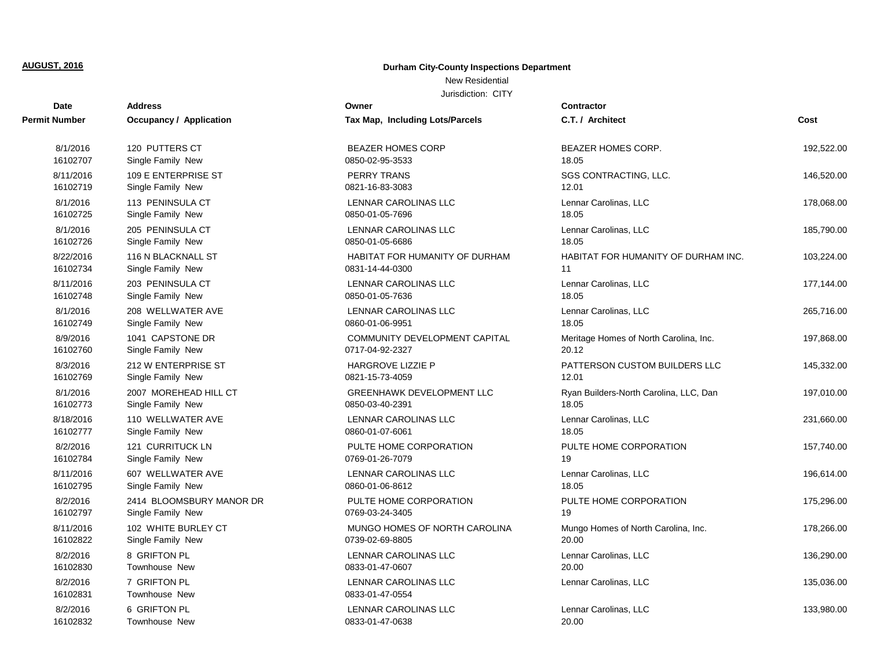## **Durham City-County Inspections Department**

## New Residential

| <b>Date</b>          | Address                              | Owner                                   | <b>Contractor</b>                      |            |
|----------------------|--------------------------------------|-----------------------------------------|----------------------------------------|------------|
| <b>Permit Number</b> | <b>Occupancy / Application</b>       | Tax Map, Including Lots/Parcels         | C.T. / Architect                       | Cost       |
| 8/1/2016             | 120 PUTTERS CT                       | <b>BEAZER HOMES CORP</b>                | <b>BEAZER HOMES CORP.</b>              | 192,522.00 |
| 16102707             | Single Family New                    | 0850-02-95-3533                         | 18.05                                  |            |
| 8/11/2016            | 109 E ENTERPRISE ST                  | <b>PERRY TRANS</b>                      | SGS CONTRACTING, LLC.                  | 146,520.00 |
| 16102719             | Single Family New                    | 0821-16-83-3083                         | 12.01                                  |            |
| 8/1/2016             | 113 PENINSULA CT                     | LENNAR CAROLINAS LLC                    | Lennar Carolinas, LLC                  | 178,068.00 |
| 16102725             | Single Family New                    | 0850-01-05-7696                         | 18.05                                  |            |
| 8/1/2016             | 205 PENINSULA CT                     | LENNAR CAROLINAS LLC                    | Lennar Carolinas, LLC                  | 185,790.00 |
| 16102726             | Single Family New                    | 0850-01-05-6686                         | 18.05                                  |            |
| 8/22/2016            | 116 N BLACKNALL ST                   | HABITAT FOR HUMANITY OF DURHAM          | HABITAT FOR HUMANITY OF DURHAM INC.    | 103,224.00 |
| 16102734             | Single Family New                    | 0831-14-44-0300                         | 11                                     |            |
| 8/11/2016            | 203 PENINSULA CT                     | <b>LENNAR CAROLINAS LLC</b>             | Lennar Carolinas, LLC                  | 177,144.00 |
| 16102748             | Single Family New                    | 0850-01-05-7636                         | 18.05                                  |            |
| 8/1/2016             | 208 WELLWATER AVE                    | <b>LENNAR CAROLINAS LLC</b>             | Lennar Carolinas, LLC                  | 265,716.00 |
| 16102749             | Single Family New                    | 0860-01-06-9951                         | 18.05                                  |            |
| 8/9/2016             | 1041 CAPSTONE DR                     | COMMUNITY DEVELOPMENT CAPITAL           | Meritage Homes of North Carolina, Inc. | 197,868.00 |
| 16102760             | Single Family New                    | 0717-04-92-2327                         | 20.12                                  |            |
| 8/3/2016             | 212 W ENTERPRISE ST                  | <b>HARGROVE LIZZIE P</b>                | PATTERSON CUSTOM BUILDERS LLC          | 145,332.00 |
| 16102769             | Single Family New                    | 0821-15-73-4059                         | 12.01                                  |            |
| 8/1/2016             | 2007 MOREHEAD HILL CT                | <b>GREENHAWK DEVELOPMENT LLC</b>        | Ryan Builders-North Carolina, LLC, Dan | 197,010.00 |
| 16102773             | Single Family New                    | 0850-03-40-2391                         | 18.05                                  |            |
| 8/18/2016            | 110 WELLWATER AVE                    | LENNAR CAROLINAS LLC                    | Lennar Carolinas, LLC                  | 231,660.00 |
| 16102777             | Single Family New                    | 0860-01-07-6061                         | 18.05                                  |            |
| 8/2/2016             | 121 CURRITUCK LN                     | PULTE HOME CORPORATION                  | PULTE HOME CORPORATION                 | 157,740.00 |
| 16102784             | Single Family New                    | 0769-01-26-7079                         | 19                                     |            |
| 8/11/2016            | 607 WELLWATER AVE                    | LENNAR CAROLINAS LLC                    | Lennar Carolinas, LLC                  | 196,614.00 |
| 16102795             | Single Family New                    | 0860-01-06-8612                         | 18.05                                  |            |
| 8/2/2016             | 2414 BLOOMSBURY MANOR DR             | PULTE HOME CORPORATION                  | PULTE HOME CORPORATION                 | 175,296.00 |
| 16102797             | Single Family New                    | 0769-03-24-3405                         | 19                                     |            |
| 8/11/2016            | 102 WHITE BURLEY CT                  | MUNGO HOMES OF NORTH CAROLINA           | Mungo Homes of North Carolina, Inc.    | 178,266.00 |
| 16102822             | Single Family New                    | 0739-02-69-8805                         | 20.00                                  |            |
| 8/2/2016             | 8 GRIFTON PL                         | LENNAR CAROLINAS LLC                    | Lennar Carolinas, LLC                  | 136,290.00 |
| 16102830             | <b>Townhouse New</b>                 | 0833-01-47-0607                         | 20.00                                  |            |
| 8/2/2016<br>16102831 | 7 GRIFTON PL<br><b>Townhouse New</b> | LENNAR CAROLINAS LLC<br>0833-01-47-0554 | Lennar Carolinas, LLC                  | 135,036.00 |
| 8/2/2016             | 6 GRIFTON PL                         | LENNAR CAROLINAS LLC                    | Lennar Carolinas, LLC                  | 133,980.00 |
| 16102832             | <b>Townhouse New</b>                 | 0833-01-47-0638                         | 20.00                                  |            |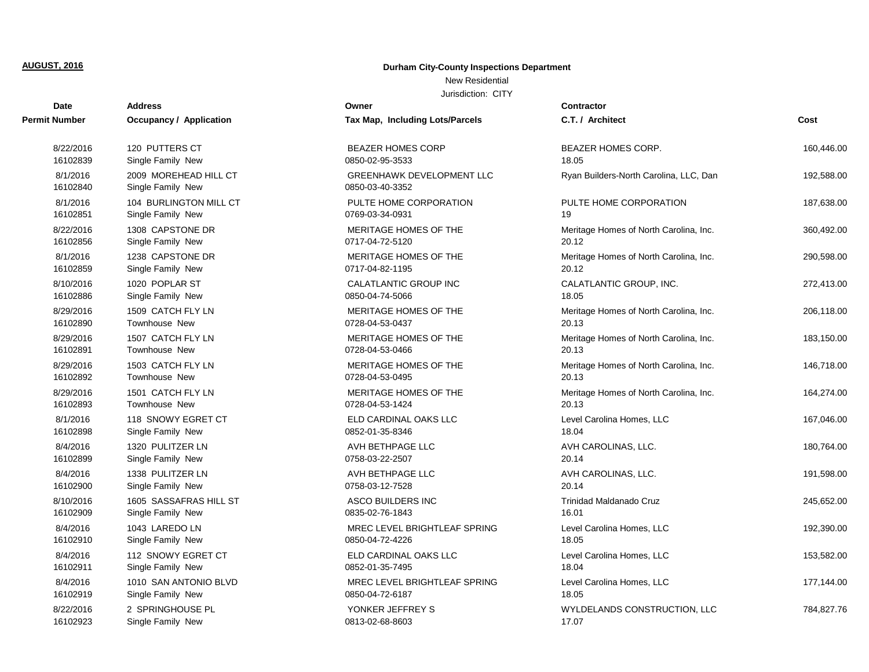## **Durham City-County Inspections Department**

## New Residential

| <b>Date</b>          | <b>Address</b>                             | Owner                                               | <b>Contractor</b>                      |            |
|----------------------|--------------------------------------------|-----------------------------------------------------|----------------------------------------|------------|
| Permit Number        | <b>Occupancy / Application</b>             | Tax Map, Including Lots/Parcels                     | C.T. / Architect                       | Cost       |
| 8/22/2016            | 120 PUTTERS CT                             | <b>BEAZER HOMES CORP</b>                            | BEAZER HOMES CORP.                     | 160,446.00 |
| 16102839             | Single Family New                          | 0850-02-95-3533                                     | 18.05                                  |            |
| 8/1/2016<br>16102840 | 2009 MOREHEAD HILL CT<br>Single Family New | <b>GREENHAWK DEVELOPMENT LLC</b><br>0850-03-40-3352 | Ryan Builders-North Carolina, LLC, Dan | 192,588.00 |
| 8/1/2016             | 104 BURLINGTON MILL CT                     | PULTE HOME CORPORATION                              | PULTE HOME CORPORATION                 | 187,638.00 |
| 16102851             | Single Family New                          | 0769-03-34-0931                                     | 19                                     |            |
| 8/22/2016            | 1308 CAPSTONE DR                           | MERITAGE HOMES OF THE                               | Meritage Homes of North Carolina, Inc. | 360,492.00 |
| 16102856             | Single Family New                          | 0717-04-72-5120                                     | 20.12                                  |            |
| 8/1/2016             | 1238 CAPSTONE DR                           | MERITAGE HOMES OF THE                               | Meritage Homes of North Carolina, Inc. | 290,598.00 |
| 16102859             | Single Family New                          | 0717-04-82-1195                                     | 20.12                                  |            |
| 8/10/2016            | 1020 POPLAR ST                             | CALATLANTIC GROUP INC                               | CALATLANTIC GROUP, INC.                | 272,413.00 |
| 16102886             | Single Family New                          | 0850-04-74-5066                                     | 18.05                                  |            |
| 8/29/2016            | 1509 CATCH FLY LN                          | MERITAGE HOMES OF THE                               | Meritage Homes of North Carolina, Inc. | 206,118.00 |
| 16102890             | <b>Townhouse New</b>                       | 0728-04-53-0437                                     | 20.13                                  |            |
| 8/29/2016            | 1507 CATCH FLY LN                          | MERITAGE HOMES OF THE                               | Meritage Homes of North Carolina, Inc. | 183,150.00 |
| 16102891             | <b>Townhouse New</b>                       | 0728-04-53-0466                                     | 20.13                                  |            |
| 8/29/2016            | 1503 CATCH FLY LN                          | MERITAGE HOMES OF THE                               | Meritage Homes of North Carolina, Inc. | 146,718.00 |
| 16102892             | <b>Townhouse New</b>                       | 0728-04-53-0495                                     | 20.13                                  |            |
| 8/29/2016            | 1501 CATCH FLY LN                          | MERITAGE HOMES OF THE                               | Meritage Homes of North Carolina, Inc. | 164,274.00 |
| 16102893             | Townhouse New                              | 0728-04-53-1424                                     | 20.13                                  |            |
| 8/1/2016             | 118 SNOWY EGRET CT                         | ELD CARDINAL OAKS LLC                               | Level Carolina Homes, LLC              | 167,046.00 |
| 16102898             | Single Family New                          | 0852-01-35-8346                                     | 18.04                                  |            |
| 8/4/2016             | 1320 PULITZER LN                           | AVH BETHPAGE LLC                                    | AVH CAROLINAS, LLC.                    | 180,764.00 |
| 16102899             | Single Family New                          | 0758-03-22-2507                                     | 20.14                                  |            |
| 8/4/2016             | 1338 PULITZER LN                           | AVH BETHPAGE LLC                                    | AVH CAROLINAS, LLC.                    | 191,598.00 |
| 16102900             | Single Family New                          | 0758-03-12-7528                                     | 20.14                                  |            |
| 8/10/2016            | 1605 SASSAFRAS HILL ST                     | ASCO BUILDERS INC                                   | Trinidad Maldanado Cruz                | 245,652.00 |
| 16102909             | Single Family New                          | 0835-02-76-1843                                     | 16.01                                  |            |
| 8/4/2016             | 1043 LAREDO LN                             | MREC LEVEL BRIGHTLEAF SPRING                        | Level Carolina Homes, LLC              | 192,390.00 |
| 16102910             | Single Family New                          | 0850-04-72-4226                                     | 18.05                                  |            |
| 8/4/2016             | 112 SNOWY EGRET CT                         | ELD CARDINAL OAKS LLC                               | Level Carolina Homes, LLC              | 153,582.00 |
| 16102911             | Single Family New                          | 0852-01-35-7495                                     | 18.04                                  |            |
| 8/4/2016             | 1010 SAN ANTONIO BLVD                      | MREC LEVEL BRIGHTLEAF SPRING                        | Level Carolina Homes, LLC              | 177,144.00 |
| 16102919             | Single Family New                          | 0850-04-72-6187                                     | 18.05                                  |            |
| 8/22/2016            | 2 SPRINGHOUSE PL                           | YONKER JEFFREY S                                    | WYLDELANDS CONSTRUCTION, LLC           | 784,827.76 |
| 16102923             | Single Family New                          | 0813-02-68-8603                                     | 17.07                                  |            |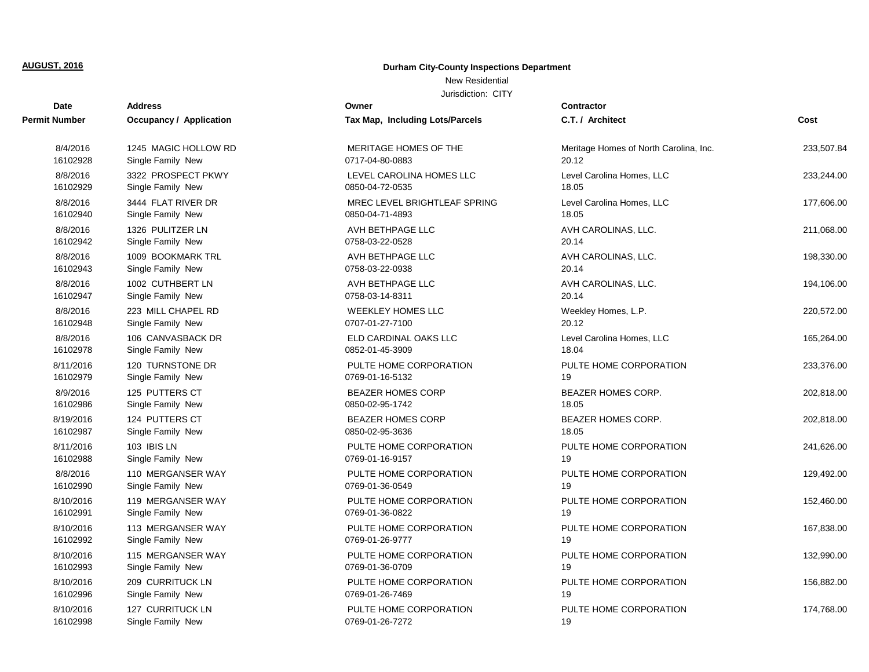## **Durham City-County Inspections Department**

## New Residential

| Date          | <b>Address</b>                 | Owner                                  | <b>Contractor</b>                      |            |
|---------------|--------------------------------|----------------------------------------|----------------------------------------|------------|
| Permit Number | <b>Occupancy / Application</b> | <b>Tax Map, Including Lots/Parcels</b> | C.T. / Architect                       | Cost       |
| 8/4/2016      | 1245 MAGIC HOLLOW RD           | MERITAGE HOMES OF THE                  | Meritage Homes of North Carolina, Inc. | 233.507.84 |
| 16102928      | Single Family New              | 0717-04-80-0883                        | 20.12                                  |            |
| 8/8/2016      | 3322 PROSPECT PKWY             | LEVEL CAROLINA HOMES LLC               | Level Carolina Homes, LLC              | 233,244.00 |
| 16102929      | Single Family New              | 0850-04-72-0535                        | 18.05                                  |            |
| 8/8/2016      | 3444 FLAT RIVER DR             | MREC LEVEL BRIGHTLEAF SPRING           | Level Carolina Homes, LLC              | 177,606.00 |
| 16102940      | Single Family New              | 0850-04-71-4893                        | 18.05                                  |            |
| 8/8/2016      | 1326 PULITZER LN               | AVH BETHPAGE LLC                       | AVH CAROLINAS, LLC.                    | 211,068.00 |
| 16102942      | Single Family New              | 0758-03-22-0528                        | 20.14                                  |            |
| 8/8/2016      | 1009 BOOKMARK TRL              | AVH BETHPAGE LLC                       | AVH CAROLINAS, LLC.                    | 198,330.00 |
| 16102943      | Single Family New              | 0758-03-22-0938                        | 20.14                                  |            |
| 8/8/2016      | 1002 CUTHBERT LN               | AVH BETHPAGE LLC                       | AVH CAROLINAS, LLC.                    | 194,106.00 |
| 16102947      | Single Family New              | 0758-03-14-8311                        | 20.14                                  |            |
| 8/8/2016      | 223 MILL CHAPEL RD             | <b>WEEKLEY HOMES LLC</b>               | Weekley Homes, L.P.                    | 220,572.00 |
| 16102948      | Single Family New              | 0707-01-27-7100                        | 20.12                                  |            |
| 8/8/2016      | 106 CANVASBACK DR              | ELD CARDINAL OAKS LLC                  | Level Carolina Homes, LLC              | 165,264.00 |
| 16102978      | Single Family New              | 0852-01-45-3909                        | 18.04                                  |            |
| 8/11/2016     | 120 TURNSTONE DR               | PULTE HOME CORPORATION                 | PULTE HOME CORPORATION                 | 233,376.00 |
| 16102979      | Single Family New              | 0769-01-16-5132                        | 19                                     |            |
| 8/9/2016      | 125 PUTTERS CT                 | <b>BEAZER HOMES CORP</b>               | <b>BEAZER HOMES CORP.</b>              | 202,818.00 |
| 16102986      | Single Family New              | 0850-02-95-1742                        | 18.05                                  |            |
| 8/19/2016     | 124 PUTTERS CT                 | BEAZER HOMES CORP                      | <b>BEAZER HOMES CORP.</b>              | 202,818.00 |
| 16102987      | Single Family New              | 0850-02-95-3636                        | 18.05                                  |            |
| 8/11/2016     | 103 IBIS LN                    | PULTE HOME CORPORATION                 | PULTE HOME CORPORATION                 | 241,626.00 |
| 16102988      | Single Family New              | 0769-01-16-9157                        | 19                                     |            |
| 8/8/2016      | 110 MERGANSER WAY              | PULTE HOME CORPORATION                 | PULTE HOME CORPORATION                 | 129,492.00 |
| 16102990      | Single Family New              | 0769-01-36-0549                        | 19                                     |            |
| 8/10/2016     | 119 MERGANSER WAY              | PULTE HOME CORPORATION                 | PULTE HOME CORPORATION                 | 152,460.00 |
| 16102991      | Single Family New              | 0769-01-36-0822                        | 19                                     |            |
| 8/10/2016     | 113 MERGANSER WAY              | PULTE HOME CORPORATION                 | PULTE HOME CORPORATION                 | 167,838.00 |
| 16102992      | Single Family New              | 0769-01-26-9777                        | 19                                     |            |
| 8/10/2016     | 115 MERGANSER WAY              | PULTE HOME CORPORATION                 | PULTE HOME CORPORATION                 | 132,990.00 |
| 16102993      | Single Family New              | 0769-01-36-0709                        | 19                                     |            |
| 8/10/2016     | 209 CURRITUCK LN               | PULTE HOME CORPORATION                 | PULTE HOME CORPORATION                 | 156,882.00 |
| 16102996      | Single Family New              | 0769-01-26-7469                        | 19                                     |            |
| 8/10/2016     | 127 CURRITUCK LN               | PULTE HOME CORPORATION                 | PULTE HOME CORPORATION                 | 174,768.00 |
| 16102998      | Single Family New              | 0769-01-26-7272                        | 19                                     |            |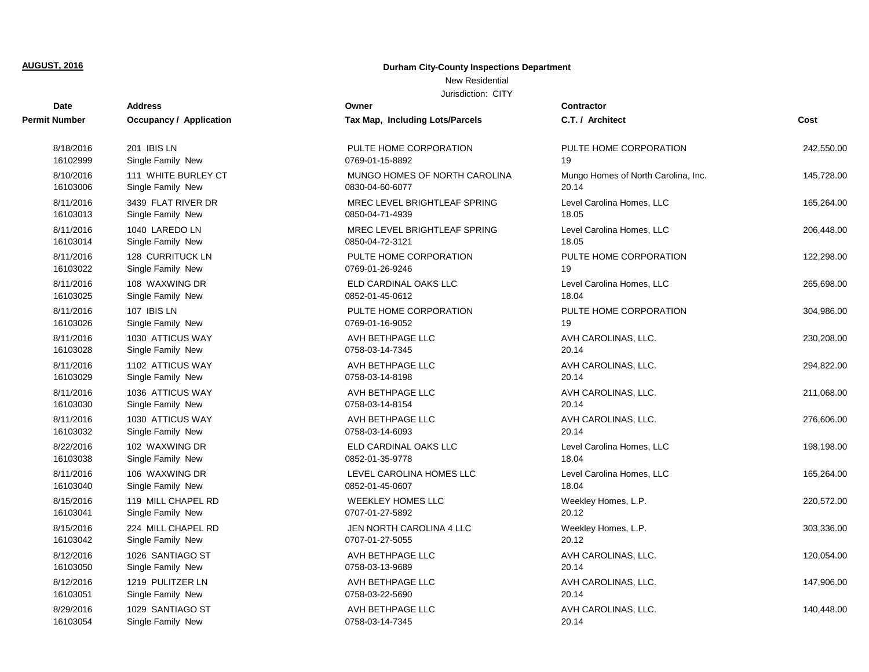## **Durham City-County Inspections Department**

## New Residential

| <b>Date</b>   | <b>Address</b>                 | Owner                           | Contractor                          |            |
|---------------|--------------------------------|---------------------------------|-------------------------------------|------------|
| Permit Number | <b>Occupancy / Application</b> | Tax Map, Including Lots/Parcels | C.T. / Architect                    | Cost       |
| 8/18/2016     | 201 IBIS LN                    | PULTE HOME CORPORATION          | PULTE HOME CORPORATION              | 242,550.00 |
| 16102999      | Single Family New              | 0769-01-15-8892                 | 19                                  |            |
| 8/10/2016     | 111 WHITE BURLEY CT            | MUNGO HOMES OF NORTH CAROLINA   | Mungo Homes of North Carolina, Inc. | 145,728.00 |
| 16103006      | Single Family New              | 0830-04-60-6077                 | 20.14                               |            |
| 8/11/2016     | 3439 FLAT RIVER DR             | MREC LEVEL BRIGHTLEAF SPRING    | Level Carolina Homes, LLC           | 165,264.00 |
| 16103013      | Single Family New              | 0850-04-71-4939                 | 18.05                               |            |
| 8/11/2016     | 1040 LAREDO LN                 | MREC LEVEL BRIGHTLEAF SPRING    | Level Carolina Homes, LLC           | 206,448.00 |
| 16103014      | Single Family New              | 0850-04-72-3121                 | 18.05                               |            |
| 8/11/2016     | 128 CURRITUCK LN               | PULTE HOME CORPORATION          | PULTE HOME CORPORATION              | 122,298.00 |
| 16103022      | Single Family New              | 0769-01-26-9246                 | 19                                  |            |
| 8/11/2016     | 108 WAXWING DR                 | ELD CARDINAL OAKS LLC           | Level Carolina Homes, LLC           | 265,698.00 |
| 16103025      | Single Family New              | 0852-01-45-0612                 | 18.04                               |            |
| 8/11/2016     | 107 IBIS LN                    | PULTE HOME CORPORATION          | PULTE HOME CORPORATION              | 304,986.00 |
| 16103026      | Single Family New              | 0769-01-16-9052                 | 19                                  |            |
| 8/11/2016     | 1030 ATTICUS WAY               | AVH BETHPAGE LLC                | AVH CAROLINAS, LLC.                 | 230,208.00 |
| 16103028      | Single Family New              | 0758-03-14-7345                 | 20.14                               |            |
| 8/11/2016     | 1102 ATTICUS WAY               | AVH BETHPAGE LLC                | AVH CAROLINAS, LLC.                 | 294,822.00 |
| 16103029      | Single Family New              | 0758-03-14-8198                 | 20.14                               |            |
| 8/11/2016     | 1036 ATTICUS WAY               | AVH BETHPAGE LLC                | AVH CAROLINAS, LLC.                 | 211,068.00 |
| 16103030      | Single Family New              | 0758-03-14-8154                 | 20.14                               |            |
| 8/11/2016     | 1030 ATTICUS WAY               | AVH BETHPAGE LLC                | AVH CAROLINAS, LLC.                 | 276,606.00 |
| 16103032      | Single Family New              | 0758-03-14-6093                 | 20.14                               |            |
| 8/22/2016     | 102 WAXWING DR                 | ELD CARDINAL OAKS LLC           | Level Carolina Homes, LLC           | 198,198.00 |
| 16103038      | Single Family New              | 0852-01-35-9778                 | 18.04                               |            |
| 8/11/2016     | 106 WAXWING DR                 | LEVEL CAROLINA HOMES LLC        | Level Carolina Homes, LLC           | 165,264.00 |
| 16103040      | Single Family New              | 0852-01-45-0607                 | 18.04                               |            |
| 8/15/2016     | 119 MILL CHAPEL RD             | <b>WEEKLEY HOMES LLC</b>        | Weekley Homes, L.P.                 | 220,572.00 |
| 16103041      | Single Family New              | 0707-01-27-5892                 | 20.12                               |            |
| 8/15/2016     | 224 MILL CHAPEL RD             | JEN NORTH CAROLINA 4 LLC        | Weekley Homes, L.P.                 | 303,336.00 |
| 16103042      | Single Family New              | 0707-01-27-5055                 | 20.12                               |            |
| 8/12/2016     | 1026 SANTIAGO ST               | AVH BETHPAGE LLC                | AVH CAROLINAS, LLC.                 | 120,054.00 |
| 16103050      | Single Family New              | 0758-03-13-9689                 | 20.14                               |            |
| 8/12/2016     | 1219 PULITZER LN               | AVH BETHPAGE LLC                | AVH CAROLINAS, LLC.                 | 147,906.00 |
| 16103051      | Single Family New              | 0758-03-22-5690                 | 20.14                               |            |
| 8/29/2016     | 1029 SANTIAGO ST               | AVH BETHPAGE LLC                | AVH CAROLINAS, LLC.                 | 140,448.00 |
| 16103054      | Single Family New              | 0758-03-14-7345                 | 20.14                               |            |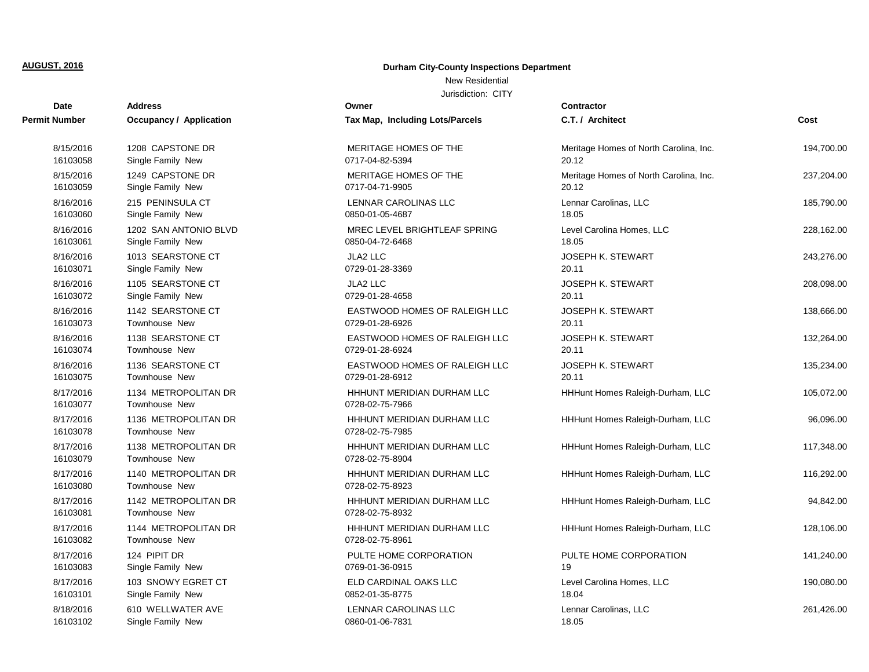## **Durham City-County Inspections Department**

## New Residential

| <b>Date</b>           | Address                                      | Owner                                         | <b>Contractor</b>                      |            |
|-----------------------|----------------------------------------------|-----------------------------------------------|----------------------------------------|------------|
| Permit Number         | <b>Occupancy / Application</b>               | Tax Map, Including Lots/Parcels               | C.T. / Architect                       | Cost       |
| 8/15/2016             | 1208 CAPSTONE DR                             | MERITAGE HOMES OF THE                         | Meritage Homes of North Carolina, Inc. | 194,700.00 |
| 16103058              | Single Family New                            | 0717-04-82-5394                               | 20.12                                  |            |
| 8/15/2016             | 1249 CAPSTONE DR                             | MERITAGE HOMES OF THE                         | Meritage Homes of North Carolina, Inc. | 237,204.00 |
| 16103059              | Single Family New                            | 0717-04-71-9905                               | 20.12                                  |            |
| 8/16/2016             | 215 PENINSULA CT                             | LENNAR CAROLINAS LLC                          | Lennar Carolinas, LLC                  | 185,790.00 |
| 16103060              | Single Family New                            | 0850-01-05-4687                               | 18.05                                  |            |
| 8/16/2016             | 1202 SAN ANTONIO BLVD                        | MREC LEVEL BRIGHTLEAF SPRING                  | Level Carolina Homes, LLC              | 228,162.00 |
| 16103061              | Single Family New                            | 0850-04-72-6468                               | 18.05                                  |            |
| 8/16/2016             | 1013 SEARSTONE CT                            | JLA2 LLC                                      | <b>JOSEPH K. STEWART</b>               | 243,276.00 |
| 16103071              | Single Family New                            | 0729-01-28-3369                               | 20.11                                  |            |
| 8/16/2016             | 1105 SEARSTONE CT                            | <b>JLA2 LLC</b>                               | <b>JOSEPH K. STEWART</b>               | 208,098.00 |
| 16103072              | Single Family New                            | 0729-01-28-4658                               | 20.11                                  |            |
| 8/16/2016             | 1142 SEARSTONE CT                            | EASTWOOD HOMES OF RALEIGH LLC                 | JOSEPH K. STEWART                      | 138,666.00 |
| 16103073              | <b>Townhouse New</b>                         | 0729-01-28-6926                               | 20.11                                  |            |
| 8/16/2016             | 1138 SEARSTONE CT                            | EASTWOOD HOMES OF RALEIGH LLC                 | <b>JOSEPH K. STEWART</b>               | 132.264.00 |
| 16103074              | <b>Townhouse New</b>                         | 0729-01-28-6924                               | 20.11                                  |            |
| 8/16/2016             | 1136 SEARSTONE CT                            | EASTWOOD HOMES OF RALEIGH LLC                 | <b>JOSEPH K. STEWART</b>               | 135,234.00 |
| 16103075              | Townhouse New                                | 0729-01-28-6912                               | 20.11                                  |            |
| 8/17/2016<br>16103077 | 1134 METROPOLITAN DR<br><b>Townhouse New</b> | HHHUNT MERIDIAN DURHAM LLC<br>0728-02-75-7966 | HHHunt Homes Raleigh-Durham, LLC       | 105,072.00 |
| 8/17/2016<br>16103078 | 1136 METROPOLITAN DR<br>Townhouse New        | HHHUNT MERIDIAN DURHAM LLC<br>0728-02-75-7985 | HHHunt Homes Raleigh-Durham, LLC       | 96,096.00  |
| 8/17/2016<br>16103079 | 1138 METROPOLITAN DR<br><b>Townhouse New</b> | HHHUNT MERIDIAN DURHAM LLC<br>0728-02-75-8904 | HHHunt Homes Raleigh-Durham, LLC       | 117,348.00 |
| 8/17/2016<br>16103080 | 1140 METROPOLITAN DR<br><b>Townhouse New</b> | HHHUNT MERIDIAN DURHAM LLC<br>0728-02-75-8923 | HHHunt Homes Raleigh-Durham, LLC       | 116,292.00 |
| 8/17/2016<br>16103081 | 1142 METROPOLITAN DR<br><b>Townhouse New</b> | HHHUNT MERIDIAN DURHAM LLC<br>0728-02-75-8932 | HHHunt Homes Raleigh-Durham, LLC       | 94,842.00  |
| 8/17/2016<br>16103082 | 1144 METROPOLITAN DR<br><b>Townhouse New</b> | HHHUNT MERIDIAN DURHAM LLC<br>0728-02-75-8961 | HHHunt Homes Raleigh-Durham, LLC       | 128,106.00 |
| 8/17/2016             | 124 PIPIT DR                                 | PULTE HOME CORPORATION                        | PULTE HOME CORPORATION                 | 141,240.00 |
| 16103083              | Single Family New                            | 0769-01-36-0915                               | 19                                     |            |
| 8/17/2016             | 103 SNOWY EGRET CT                           | ELD CARDINAL OAKS LLC                         | Level Carolina Homes, LLC              | 190,080.00 |
| 16103101              | Single Family New                            | 0852-01-35-8775                               | 18.04                                  |            |
| 8/18/2016             | 610 WELLWATER AVE                            | <b>LENNAR CAROLINAS LLC</b>                   | Lennar Carolinas, LLC                  | 261,426.00 |
| 16103102              | Single Family New                            | 0860-01-06-7831                               | 18.05                                  |            |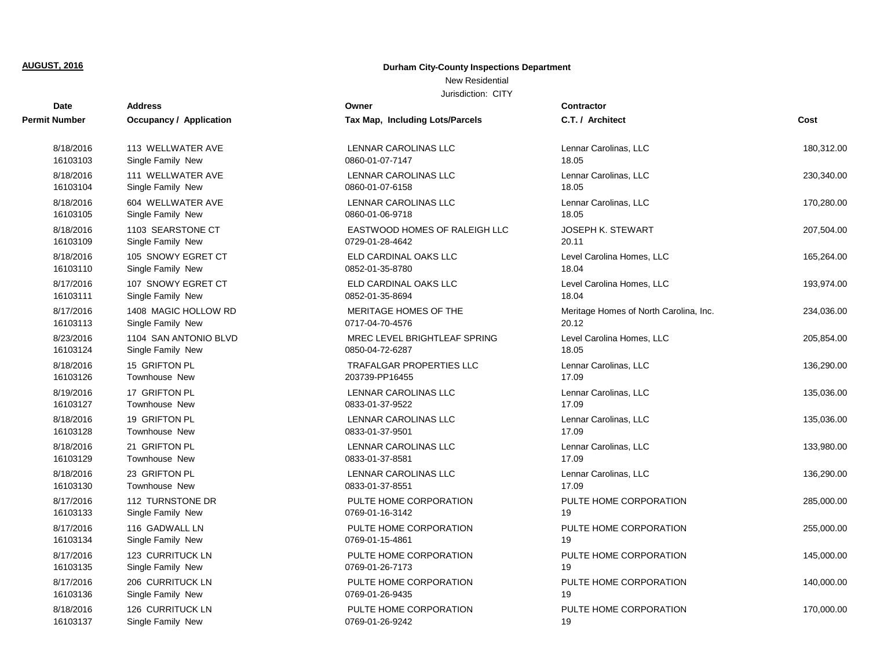## **Durham City-County Inspections Department**

## New Residential

| <b>Date</b>   | <b>Address</b>                 | Owner                           | <b>Contractor</b>                      |            |
|---------------|--------------------------------|---------------------------------|----------------------------------------|------------|
| Permit Number | <b>Occupancy / Application</b> | Tax Map, Including Lots/Parcels | C.T. / Architect                       | Cost       |
| 8/18/2016     | 113 WELLWATER AVE              | LENNAR CAROLINAS LLC            | Lennar Carolinas, LLC                  | 180,312.00 |
| 16103103      | Single Family New              | 0860-01-07-7147                 | 18.05                                  |            |
| 8/18/2016     | 111 WELLWATER AVE              | LENNAR CAROLINAS LLC            | Lennar Carolinas, LLC                  | 230,340.00 |
| 16103104      | Single Family New              | 0860-01-07-6158                 | 18.05                                  |            |
| 8/18/2016     | 604 WELLWATER AVE              | LENNAR CAROLINAS LLC            | Lennar Carolinas, LLC                  | 170,280.00 |
| 16103105      | Single Family New              | 0860-01-06-9718                 | 18.05                                  |            |
| 8/18/2016     | 1103 SEARSTONE CT              | EASTWOOD HOMES OF RALEIGH LLC   | <b>JOSEPH K. STEWART</b>               | 207,504.00 |
| 16103109      | Single Family New              | 0729-01-28-4642                 | 20.11                                  |            |
| 8/18/2016     | 105 SNOWY EGRET CT             | ELD CARDINAL OAKS LLC           | Level Carolina Homes, LLC              | 165,264.00 |
| 16103110      | Single Family New              | 0852-01-35-8780                 | 18.04                                  |            |
| 8/17/2016     | 107 SNOWY EGRET CT             | ELD CARDINAL OAKS LLC           | Level Carolina Homes, LLC              | 193,974.00 |
| 16103111      | Single Family New              | 0852-01-35-8694                 | 18.04                                  |            |
| 8/17/2016     | 1408 MAGIC HOLLOW RD           | MERITAGE HOMES OF THE           | Meritage Homes of North Carolina, Inc. | 234,036.00 |
| 16103113      | Single Family New              | 0717-04-70-4576                 | 20.12                                  |            |
| 8/23/2016     | 1104 SAN ANTONIO BLVD          | MREC LEVEL BRIGHTLEAF SPRING    | Level Carolina Homes, LLC              | 205,854.00 |
| 16103124      | Single Family New              | 0850-04-72-6287                 | 18.05                                  |            |
| 8/18/2016     | 15 GRIFTON PL                  | TRAFALGAR PROPERTIES LLC        | Lennar Carolinas, LLC                  | 136,290.00 |
| 16103126      | <b>Townhouse New</b>           | 203739-PP16455                  | 17.09                                  |            |
| 8/19/2016     | 17 GRIFTON PL                  | LENNAR CAROLINAS LLC            | Lennar Carolinas, LLC                  | 135,036.00 |
| 16103127      | Townhouse New                  | 0833-01-37-9522                 | 17.09                                  |            |
| 8/18/2016     | 19 GRIFTON PL                  | LENNAR CAROLINAS LLC            | Lennar Carolinas, LLC                  | 135,036.00 |
| 16103128      | Townhouse New                  | 0833-01-37-9501                 | 17.09                                  |            |
| 8/18/2016     | 21 GRIFTON PL                  | LENNAR CAROLINAS LLC            | Lennar Carolinas, LLC                  | 133,980.00 |
| 16103129      | Townhouse New                  | 0833-01-37-8581                 | 17.09                                  |            |
| 8/18/2016     | 23 GRIFTON PL                  | LENNAR CAROLINAS LLC            | Lennar Carolinas, LLC                  | 136,290.00 |
| 16103130      | <b>Townhouse New</b>           | 0833-01-37-8551                 | 17.09                                  |            |
| 8/17/2016     | 112 TURNSTONE DR               | PULTE HOME CORPORATION          | PULTE HOME CORPORATION                 | 285,000.00 |
| 16103133      | Single Family New              | 0769-01-16-3142                 | 19                                     |            |
| 8/17/2016     | 116 GADWALL LN                 | PULTE HOME CORPORATION          | PULTE HOME CORPORATION                 | 255,000.00 |
| 16103134      | Single Family New              | 0769-01-15-4861                 | 19                                     |            |
| 8/17/2016     | 123 CURRITUCK LN               | PULTE HOME CORPORATION          | PULTE HOME CORPORATION                 | 145,000.00 |
| 16103135      | Single Family New              | 0769-01-26-7173                 | 19                                     |            |
| 8/17/2016     | 206 CURRITUCK LN               | PULTE HOME CORPORATION          | PULTE HOME CORPORATION                 | 140,000.00 |
| 16103136      | Single Family New              | 0769-01-26-9435                 | 19                                     |            |
| 8/18/2016     | <b>126 CURRITUCK LN</b>        | PULTE HOME CORPORATION          | PULTE HOME CORPORATION                 | 170,000.00 |
| 16103137      | Single Family New              | 0769-01-26-9242                 | 19                                     |            |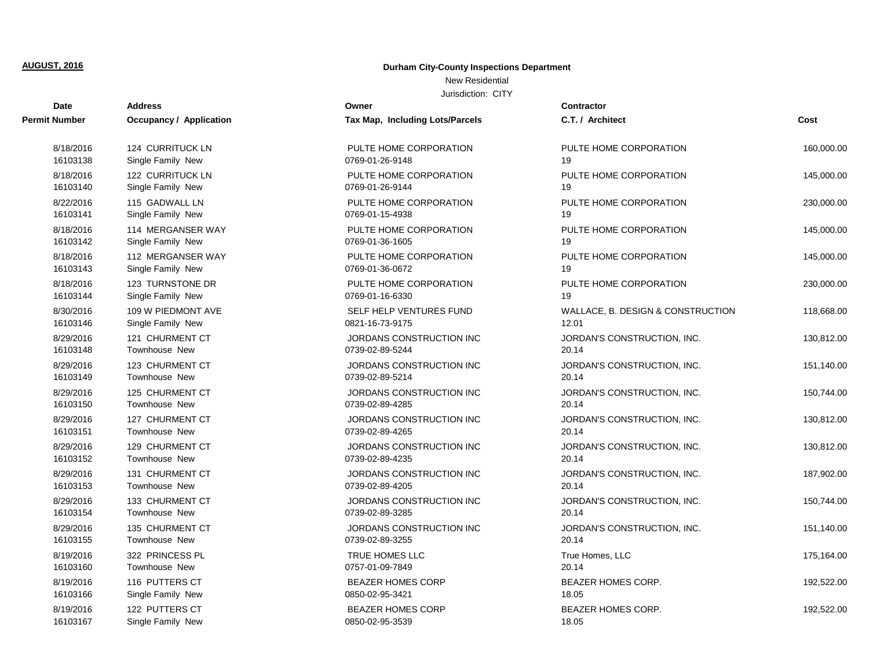## **Durham City-County Inspections Department**

## New Residential

| Date          | <b>Address</b>                 | Owner                           | Contractor                        |            |
|---------------|--------------------------------|---------------------------------|-----------------------------------|------------|
| Permit Number | <b>Occupancy / Application</b> | Tax Map, Including Lots/Parcels | C.T. / Architect                  | Cost       |
| 8/18/2016     | 124 CURRITUCK LN               | PULTE HOME CORPORATION          | PULTE HOME CORPORATION            | 160,000.00 |
| 16103138      | Single Family New              | 0769-01-26-9148                 | 19                                |            |
| 8/18/2016     | 122 CURRITUCK LN               | PULTE HOME CORPORATION          | PULTE HOME CORPORATION            | 145,000.00 |
| 16103140      | Single Family New              | 0769-01-26-9144                 | 19                                |            |
| 8/22/2016     | 115 GADWALL LN                 | PULTE HOME CORPORATION          | PULTE HOME CORPORATION            | 230,000.00 |
| 16103141      | Single Family New              | 0769-01-15-4938                 | 19                                |            |
| 8/18/2016     | 114 MERGANSER WAY              | PULTE HOME CORPORATION          | PULTE HOME CORPORATION            | 145,000.00 |
| 16103142      | Single Family New              | 0769-01-36-1605                 | 19                                |            |
| 8/18/2016     | 112 MERGANSER WAY              | PULTE HOME CORPORATION          | PULTE HOME CORPORATION            | 145,000.00 |
| 16103143      | Single Family New              | 0769-01-36-0672                 | 19                                |            |
| 8/18/2016     | 123 TURNSTONE DR               | PULTE HOME CORPORATION          | PULTE HOME CORPORATION            | 230,000.00 |
| 16103144      | Single Family New              | 0769-01-16-6330                 | 19                                |            |
| 8/30/2016     | 109 W PIEDMONT AVE             | SELF HELP VENTURES FUND         | WALLACE, B. DESIGN & CONSTRUCTION | 118,668.00 |
| 16103146      | Single Family New              | 0821-16-73-9175                 | 12.01                             |            |
| 8/29/2016     | 121 CHURMENT CT                | JORDANS CONSTRUCTION INC        | JORDAN'S CONSTRUCTION, INC.       | 130,812.00 |
| 16103148      | <b>Townhouse New</b>           | 0739-02-89-5244                 | 20.14                             |            |
| 8/29/2016     | 123 CHURMENT CT                | JORDANS CONSTRUCTION INC        | JORDAN'S CONSTRUCTION, INC.       | 151,140.00 |
| 16103149      | Townhouse New                  | 0739-02-89-5214                 | 20.14                             |            |
| 8/29/2016     | 125 CHURMENT CT                | JORDANS CONSTRUCTION INC        | JORDAN'S CONSTRUCTION, INC.       | 150,744.00 |
| 16103150      | <b>Townhouse New</b>           | 0739-02-89-4285                 | 20.14                             |            |
| 8/29/2016     | 127 CHURMENT CT                | JORDANS CONSTRUCTION INC        | JORDAN'S CONSTRUCTION, INC.       | 130,812.00 |
| 16103151      | Townhouse New                  | 0739-02-89-4265                 | 20.14                             |            |
| 8/29/2016     | 129 CHURMENT CT                | JORDANS CONSTRUCTION INC        | JORDAN'S CONSTRUCTION, INC.       | 130,812.00 |
| 16103152      | <b>Townhouse New</b>           | 0739-02-89-4235                 | 20.14                             |            |
| 8/29/2016     | 131 CHURMENT CT                | JORDANS CONSTRUCTION INC        | JORDAN'S CONSTRUCTION, INC.       | 187,902.00 |
| 16103153      | <b>Townhouse New</b>           | 0739-02-89-4205                 | 20.14                             |            |
| 8/29/2016     | 133 CHURMENT CT                | JORDANS CONSTRUCTION INC        | JORDAN'S CONSTRUCTION, INC.       | 150,744.00 |
| 16103154      | <b>Townhouse New</b>           | 0739-02-89-3285                 | 20.14                             |            |
| 8/29/2016     | 135 CHURMENT CT                | JORDANS CONSTRUCTION INC        | JORDAN'S CONSTRUCTION, INC.       | 151,140.00 |
| 16103155      | Townhouse New                  | 0739-02-89-3255                 | 20.14                             |            |
| 8/19/2016     | 322 PRINCESS PL                | TRUE HOMES LLC                  | True Homes, LLC                   | 175,164.00 |
| 16103160      | <b>Townhouse New</b>           | 0757-01-09-7849                 | 20.14                             |            |
| 8/19/2016     | 116 PUTTERS CT                 | <b>BEAZER HOMES CORP</b>        | <b>BEAZER HOMES CORP.</b>         | 192,522.00 |
| 16103166      | Single Family New              | 0850-02-95-3421                 | 18.05                             |            |
| 8/19/2016     | 122 PUTTERS CT                 | <b>BEAZER HOMES CORP</b>        | <b>BEAZER HOMES CORP.</b>         | 192,522.00 |
| 16103167      | Single Family New              | 0850-02-95-3539                 | 18.05                             |            |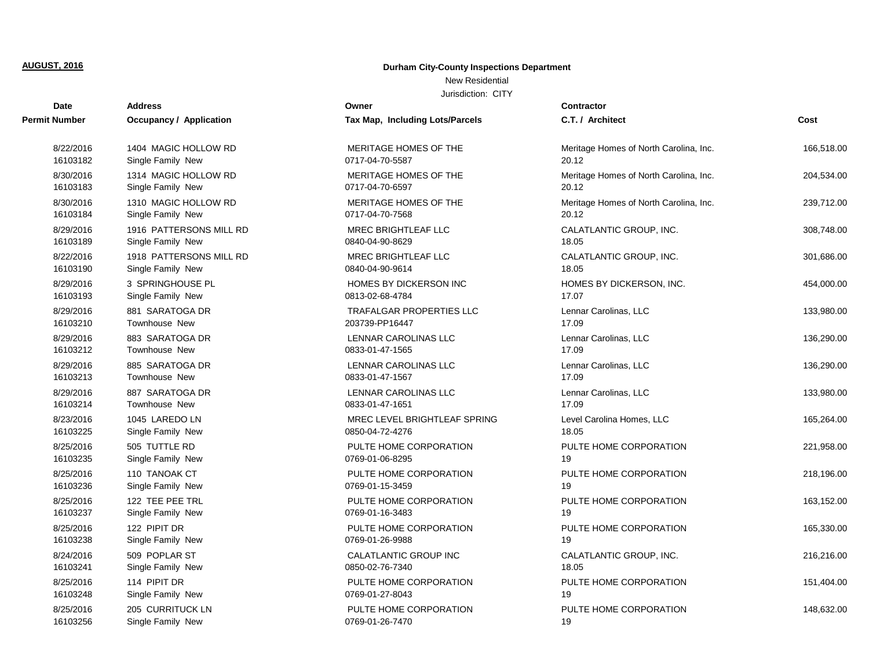## **Durham City-County Inspections Department**

## New Residential

| <b>Date</b>   | <b>Address</b>                 | Owner                           | <b>Contractor</b>                      |            |
|---------------|--------------------------------|---------------------------------|----------------------------------------|------------|
| Permit Number | <b>Occupancy / Application</b> | Tax Map, Including Lots/Parcels | C.T. / Architect                       | Cost       |
| 8/22/2016     | 1404 MAGIC HOLLOW RD           | MERITAGE HOMES OF THE           | Meritage Homes of North Carolina, Inc. | 166,518.00 |
| 16103182      | Single Family New              | 0717-04-70-5587                 | 20.12                                  |            |
| 8/30/2016     | 1314 MAGIC HOLLOW RD           | MERITAGE HOMES OF THE           | Meritage Homes of North Carolina, Inc. | 204,534.00 |
| 16103183      | Single Family New              | 0717-04-70-6597                 | 20.12                                  |            |
| 8/30/2016     | 1310 MAGIC HOLLOW RD           | MERITAGE HOMES OF THE           | Meritage Homes of North Carolina, Inc. | 239,712.00 |
| 16103184      | Single Family New              | 0717-04-70-7568                 | 20.12                                  |            |
| 8/29/2016     | 1916 PATTERSONS MILL RD        | MREC BRIGHTLEAF LLC             | CALATLANTIC GROUP, INC.                | 308,748.00 |
| 16103189      | Single Family New              | 0840-04-90-8629                 | 18.05                                  |            |
| 8/22/2016     | 1918 PATTERSONS MILL RD        | <b>MREC BRIGHTLEAF LLC</b>      | CALATLANTIC GROUP, INC.                | 301,686.00 |
| 16103190      | Single Family New              | 0840-04-90-9614                 | 18.05                                  |            |
| 8/29/2016     | 3 SPRINGHOUSE PL               | HOMES BY DICKERSON INC          | HOMES BY DICKERSON, INC.               | 454,000.00 |
| 16103193      | Single Family New              | 0813-02-68-4784                 | 17.07                                  |            |
| 8/29/2016     | 881 SARATOGA DR                | <b>TRAFALGAR PROPERTIES LLC</b> | Lennar Carolinas, LLC                  | 133,980.00 |
| 16103210      | <b>Townhouse New</b>           | 203739-PP16447                  | 17.09                                  |            |
| 8/29/2016     | 883 SARATOGA DR                | LENNAR CAROLINAS LLC            | Lennar Carolinas, LLC                  | 136,290.00 |
| 16103212      | <b>Townhouse New</b>           | 0833-01-47-1565                 | 17.09                                  |            |
| 8/29/2016     | 885 SARATOGA DR                | LENNAR CAROLINAS LLC            | Lennar Carolinas, LLC                  | 136,290.00 |
| 16103213      | <b>Townhouse New</b>           | 0833-01-47-1567                 | 17.09                                  |            |
| 8/29/2016     | 887 SARATOGA DR                | LENNAR CAROLINAS LLC            | Lennar Carolinas, LLC                  | 133,980.00 |
| 16103214      | <b>Townhouse New</b>           | 0833-01-47-1651                 | 17.09                                  |            |
| 8/23/2016     | 1045 LAREDO LN                 | MREC LEVEL BRIGHTLEAF SPRING    | Level Carolina Homes, LLC              | 165,264.00 |
| 16103225      | Single Family New              | 0850-04-72-4276                 | 18.05                                  |            |
| 8/25/2016     | 505 TUTTLE RD                  | PULTE HOME CORPORATION          | PULTE HOME CORPORATION                 | 221,958.00 |
| 16103235      | Single Family New              | 0769-01-06-8295                 | 19                                     |            |
| 8/25/2016     | 110 TANOAK CT                  | PULTE HOME CORPORATION          | PULTE HOME CORPORATION                 | 218,196.00 |
| 16103236      | Single Family New              | 0769-01-15-3459                 | 19                                     |            |
| 8/25/2016     | 122 TEE PEE TRL                | PULTE HOME CORPORATION          | PULTE HOME CORPORATION                 | 163,152.00 |
| 16103237      | Single Family New              | 0769-01-16-3483                 | 19                                     |            |
| 8/25/2016     | 122 PIPIT DR                   | PULTE HOME CORPORATION          | PULTE HOME CORPORATION                 | 165,330.00 |
| 16103238      | Single Family New              | 0769-01-26-9988                 | 19                                     |            |
| 8/24/2016     | 509 POPLAR ST                  | CALATLANTIC GROUP INC           | CALATLANTIC GROUP, INC.                | 216,216.00 |
| 16103241      | Single Family New              | 0850-02-76-7340                 | 18.05                                  |            |
| 8/25/2016     | 114 PIPIT DR                   | PULTE HOME CORPORATION          | PULTE HOME CORPORATION                 | 151,404.00 |
| 16103248      | Single Family New              | 0769-01-27-8043                 | 19                                     |            |
| 8/25/2016     | 205 CURRITUCK LN               | PULTE HOME CORPORATION          | PULTE HOME CORPORATION                 | 148,632.00 |
| 16103256      | Single Family New              | 0769-01-26-7470                 | 19                                     |            |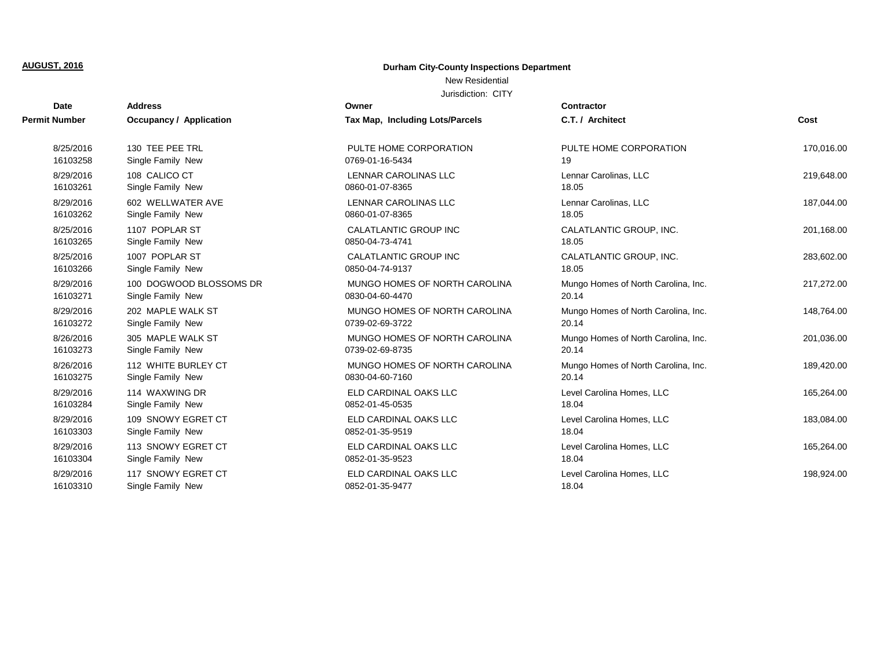## **Durham City-County Inspections Department**

## New Residential

| <b>Date</b>          | <b>Address</b>                 | Owner                           | <b>Contractor</b>                   |            |
|----------------------|--------------------------------|---------------------------------|-------------------------------------|------------|
| <b>Permit Number</b> | <b>Occupancy / Application</b> | Tax Map, Including Lots/Parcels | C.T. / Architect                    | Cost       |
| 8/25/2016            | 130 TEE PEE TRL                | PULTE HOME CORPORATION          | PULTE HOME CORPORATION              | 170,016.00 |
| 16103258             | Single Family New              | 0769-01-16-5434                 | 19                                  |            |
| 8/29/2016            | 108 CALICO CT                  | <b>LENNAR CAROLINAS LLC</b>     | Lennar Carolinas, LLC               | 219,648.00 |
| 16103261             | Single Family New              | 0860-01-07-8365                 | 18.05                               |            |
| 8/29/2016            | 602 WELLWATER AVE              | <b>LENNAR CAROLINAS LLC</b>     | Lennar Carolinas, LLC               | 187,044.00 |
| 16103262             | Single Family New              | 0860-01-07-8365                 | 18.05                               |            |
| 8/25/2016            | 1107 POPLAR ST                 | CALATLANTIC GROUP INC           | CALATLANTIC GROUP, INC.             | 201,168.00 |
| 16103265             | Single Family New              | 0850-04-73-4741                 | 18.05                               |            |
| 8/25/2016            | 1007 POPLAR ST                 | <b>CALATLANTIC GROUP INC</b>    | CALATLANTIC GROUP, INC.             | 283,602.00 |
| 16103266             | Single Family New              | 0850-04-74-9137                 | 18.05                               |            |
| 8/29/2016            | 100 DOGWOOD BLOSSOMS DR        | MUNGO HOMES OF NORTH CAROLINA   | Mungo Homes of North Carolina, Inc. | 217,272.00 |
| 16103271             | Single Family New              | 0830-04-60-4470                 | 20.14                               |            |
| 8/29/2016            | 202 MAPLE WALK ST              | MUNGO HOMES OF NORTH CAROLINA   | Mungo Homes of North Carolina, Inc. | 148,764.00 |
| 16103272             | Single Family New              | 0739-02-69-3722                 | 20.14                               |            |
| 8/26/2016            | 305 MAPLE WALK ST              | MUNGO HOMES OF NORTH CAROLINA   | Mungo Homes of North Carolina, Inc. | 201,036.00 |
| 16103273             | Single Family New              | 0739-02-69-8735                 | 20.14                               |            |
| 8/26/2016            | 112 WHITE BURLEY CT            | MUNGO HOMES OF NORTH CAROLINA   | Mungo Homes of North Carolina, Inc. | 189,420.00 |
| 16103275             | Single Family New              | 0830-04-60-7160                 | 20.14                               |            |
| 8/29/2016            | 114 WAXWING DR                 | ELD CARDINAL OAKS LLC           | Level Carolina Homes, LLC           | 165,264.00 |
| 16103284             | Single Family New              | 0852-01-45-0535                 | 18.04                               |            |
| 8/29/2016            | 109 SNOWY EGRET CT             | ELD CARDINAL OAKS LLC           | Level Carolina Homes, LLC           | 183,084.00 |
| 16103303             | Single Family New              | 0852-01-35-9519                 | 18.04                               |            |
| 8/29/2016            | 113 SNOWY EGRET CT             | ELD CARDINAL OAKS LLC           | Level Carolina Homes, LLC           | 165,264.00 |
| 16103304             | Single Family New              | 0852-01-35-9523                 | 18.04                               |            |
| 8/29/2016            | 117 SNOWY EGRET CT             | ELD CARDINAL OAKS LLC           | Level Carolina Homes, LLC           | 198,924.00 |
| 16103310             | Single Family New              | 0852-01-35-9477                 | 18.04                               |            |